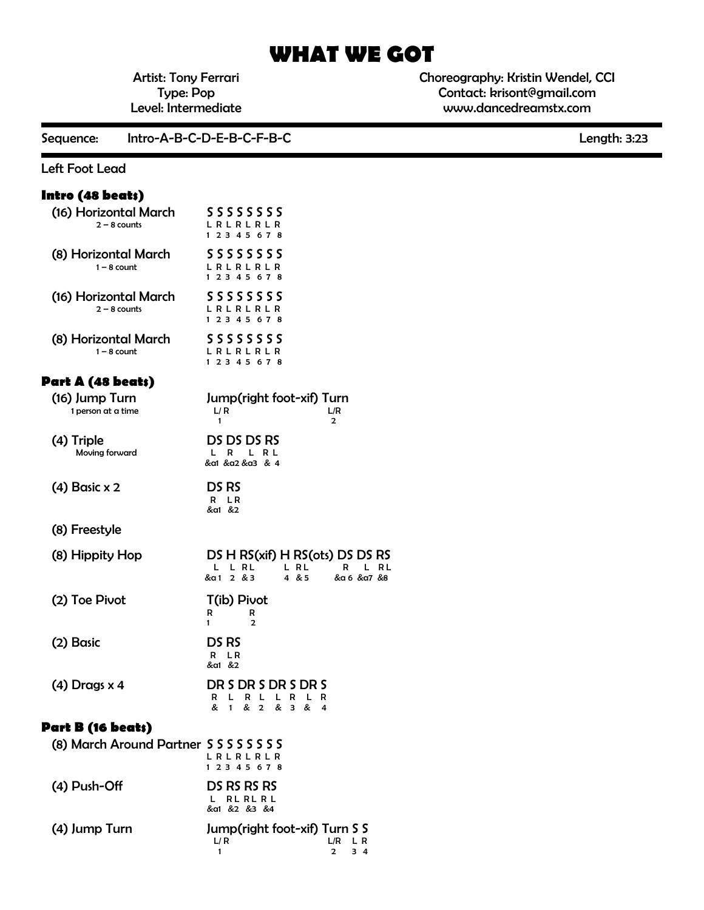# **WHAT WE GOT**

Artist: Tony Ferrari Type: Pop Level: Intermediate Choreography: Kristin Wendel, CCI Contact: krisont@gmail.com www.dancedreamstx.com

Sequence: Intro-A-B-C-D-E-B-C-F-B-C Length: 3:23

#### Left Foot Lead

## **Intro (48 beats)**

| (16) Horizontal March<br>$2 - 8$ counts    | <b>SSSSSSSS</b><br>LRLRLRLR<br>1 2 3 4 5 6 7 8                                                                               |
|--------------------------------------------|------------------------------------------------------------------------------------------------------------------------------|
| (8) Horizontal March<br>$1 - 8$ count      | 55555555<br>L R L R L R L R<br>1 2 3 4 5 6 7 8                                                                               |
| (16) Horizontal March<br>$2 - 8$ counts    | 55555555<br>L R L R L R L R<br>1 2 3 4 5 6 7 8                                                                               |
| (8) Horizontal March<br>$1 - 8$ count      | 55555555<br>L R L R L R L R<br>1 2 3 4 5 6 7 8                                                                               |
| Part A (48 beats)                          |                                                                                                                              |
| (16) Jump Turn<br>1 person at a time       | Jump(right foot-xif) Turn<br>L/R<br>L/R<br>1<br>2                                                                            |
| (4) Triple<br>Moving forward               | DS DS DS RS<br>L R<br>L R L<br>&a1 &a2 &a3 & 4                                                                               |
| $(4)$ Basic x 2                            | DS RS<br>L R<br>R<br>&a1 &2                                                                                                  |
| (8) Freestyle                              |                                                                                                                              |
| (8) Hippity Hop                            | DS H RS(xif) H RS(ots) DS DS RS<br>L L RL<br>L RL<br>R<br>L<br>RL<br>&a1 2 & 3<br>4 & 5<br>&α 6 &α7 &8                       |
| (2) Toe Pivot                              | T(ib) Pivot<br>R<br>R<br>1<br>2                                                                                              |
| (2) Basic                                  | DS RS<br>L R<br>R<br>&a1 &2                                                                                                  |
| (4) Drags x 4                              | DR S DR S DR S DR S<br>L<br>R<br>L<br>L.<br>R<br>L<br>R<br>R<br>&<br>&<br>$\overline{2}$<br>&<br>$\mathbf{1}$<br>3<br>&<br>4 |
| Part B (16 beats)                          |                                                                                                                              |
| (8) March Around Partner S S S S S S S S S | L R L R L R L R<br>1 2 3 4 5 6 7 8                                                                                           |
| (4) Push-Off                               | DS RS RS RS<br>RL RL R L<br>L.<br>&a1 &2 &3 &4                                                                               |
| (4) Jump Turn                              | Jump(right foot-xif) Turn S S<br>L/ R<br>L/R<br>L R<br>1<br>2<br>34                                                          |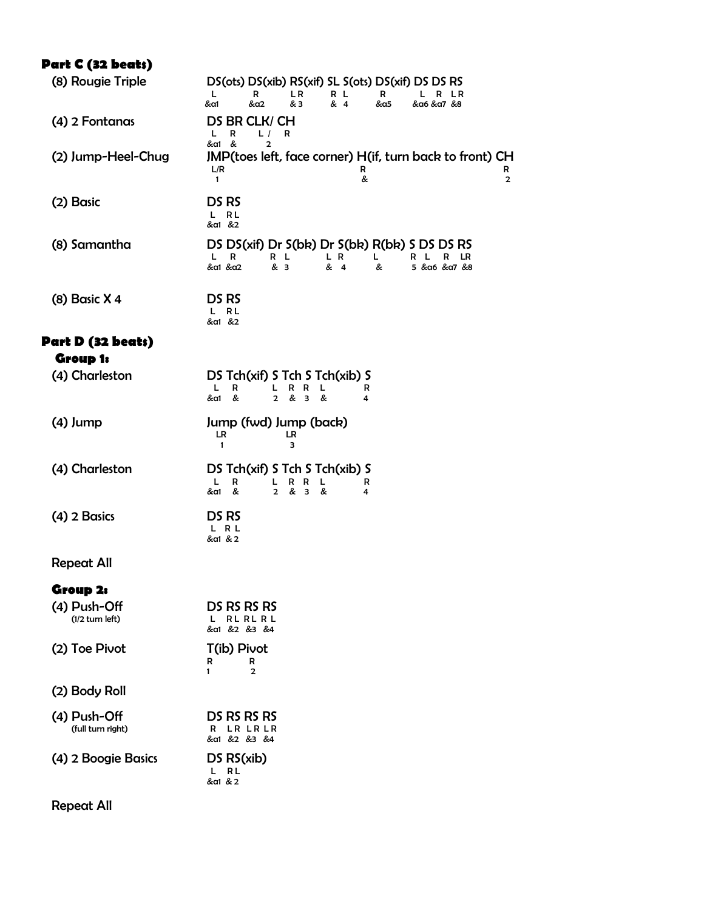# **Part C (32 beats)**

| (8) Rougie Triple                 | DS(ots) DS(xib) RS(xif) SL S(ots) DS(xif) DS DS RS<br>L<br>R<br>L R<br>R L<br>R<br>L<br>R LR<br>&a1<br>&a2<br>& 3<br>& 4<br>&α5<br>&a6 &a7 &8        |
|-----------------------------------|------------------------------------------------------------------------------------------------------------------------------------------------------|
| (4) 2 Fontanas                    | DS BR CLK/ CH<br>R<br>L<br>L/<br>R<br>&a1 &<br>2                                                                                                     |
| (2) Jump-Heel-Chug                | JMP(toes left, face corner) H(if, turn back to front) CH<br>L/R<br>R<br>R<br>&<br>$\mathbf{1}$<br>$\mathbf{2}$                                       |
| (2) Basic                         | DS RS<br>R L<br>L.<br>&a1 &2                                                                                                                         |
| (8) Samantha                      | DS DS(xif) Dr S(bk) Dr S(bk) R(bk) S DS DS RS<br>R<br>L.<br>R L<br>L R<br>L.<br>LR<br>R<br>R<br>- L<br>&a1 &a2<br>& 3<br>& 4<br>&<br>5 & α6 & α7 & 8 |
| $(8)$ Basic X 4                   | DS RS<br>L RL<br>&a1 &2                                                                                                                              |
| Part D (32 beats)                 |                                                                                                                                                      |
| <b>Group 1:</b>                   |                                                                                                                                                      |
| (4) Charleston                    | DS Tch(xif) S Tch S Tch(xib) S<br>L.<br>L.<br>R<br>R R L<br>R<br>&a1 &<br>2 & 3 &<br>4                                                               |
| $(4)$ Jump                        | Jump (fwd) Jump (back)<br>LR<br>LR<br>1<br>з                                                                                                         |
| (4) Charleston                    | DS Tch(xif) S Tch S Tch(xib) S<br>L.<br>R R L<br>R<br>L.<br>R<br>&<br>& 3 &<br>&a1<br>$\overline{2}$<br>4                                            |
| (4) 2 Basics                      | DS RS<br>L R L<br>&a1 & 2                                                                                                                            |
| <b>Repeat All</b>                 |                                                                                                                                                      |
| Group 2:                          |                                                                                                                                                      |
| (4) Push-Off<br>$(1/2$ turn left) | DS RS RS RS<br><b>RL RL RL</b><br>L<br>&a1 &2 &3 &4                                                                                                  |
| (2) Toe Pivot                     | T(ib) Pivot<br>R<br>R<br>1<br>2                                                                                                                      |
| (2) Body Roll                     |                                                                                                                                                      |
| (4) Push-Off<br>(full turn right) | DS RS RS RS<br>LR LR LR<br>R<br>&a1 &2 &3 &4                                                                                                         |
| (4) 2 Boogie Basics               | DS RS(xib)<br>R L<br>L.<br>&a1 & 2                                                                                                                   |
|                                   |                                                                                                                                                      |

Repeat All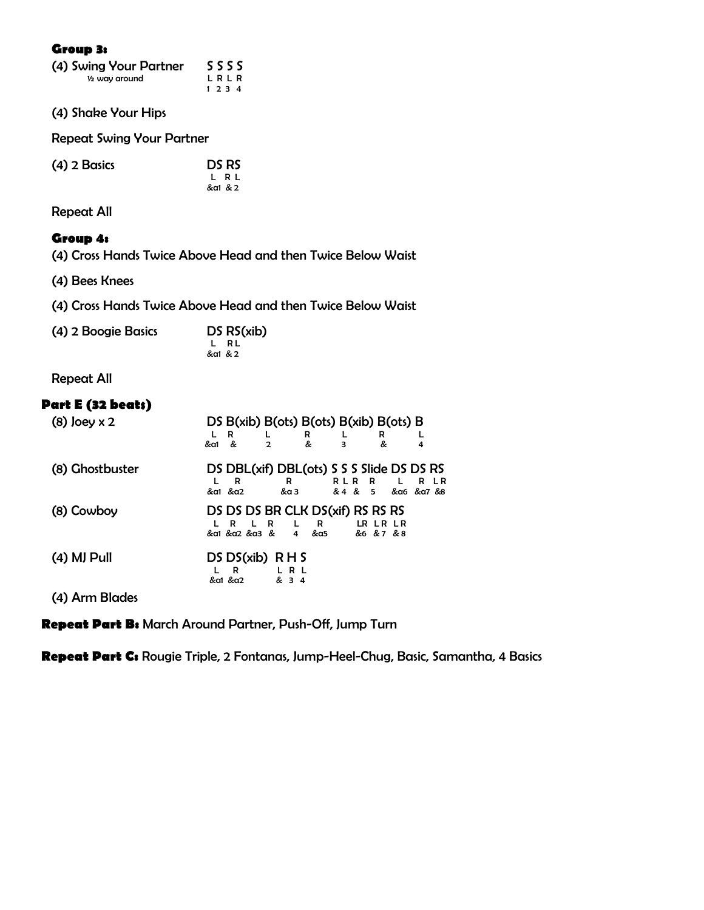#### **Group 3:**

| (4) Swing Your Partner | SSSS    |  |
|------------------------|---------|--|
| 1/2 way around         | LRLR    |  |
|                        | 1 2 3 4 |  |

(4) Shake Your Hips

Repeat Swing Your Partner

| $(4)$ 2 Basics | DS RS   |
|----------------|---------|
|                | L R L   |
|                | &a1 & 2 |

Repeat All

#### **Group 4:**

(4) Cross Hands Twice Above Head and then Twice Below Waist

(4) Bees Knees

(4) Cross Hands Twice Above Head and then Twice Below Waist

| (4) 2 Boogie Basics | DS RS(xib) |
|---------------------|------------|
|                     | L RL       |
|                     | &a1 & 2    |

Repeat All

#### **Part E (32 beats)**

| $(8)$ Joey x 2  | DS $B(xib) B(ots) B(ots) B(xib) B(ots) B$<br>R<br>R<br>&<br>&<br>&a1<br>$\mathbf{2}$               | R<br>&<br>з<br>4                                       |
|-----------------|----------------------------------------------------------------------------------------------------|--------------------------------------------------------|
| (8) Ghostbuster | DS DBL(xif) DBL(ots) S S S S lide DS DS RS<br>R<br>R<br>&α1 &α2<br>&a 3                            | RLR R<br>$\mathsf{L}$<br>R LR<br>& 4 & 5 & a6 & a7 & 8 |
| (8) Cowboy      | DS DS DS BR CLK DS(xif) RS RS RS<br>L R<br>R<br>L.<br>R.<br>&α1 &α2 &α3 &<br>&a5<br>$\overline{4}$ | LR LR LR<br>&6 &7 &8                                   |
| (4) MJ Pull     | $DS DS(xib)$ R H S<br>L R L<br>R<br>&a1 &a2<br>& 3 4                                               |                                                        |

(4) Arm Blades

**Repeat Part B:** March Around Partner, Push-Off, Jump Turn

**Repeat Part C:** Rougie Triple, 2 Fontanas, Jump-Heel-Chug, Basic, Samantha, 4 Basics